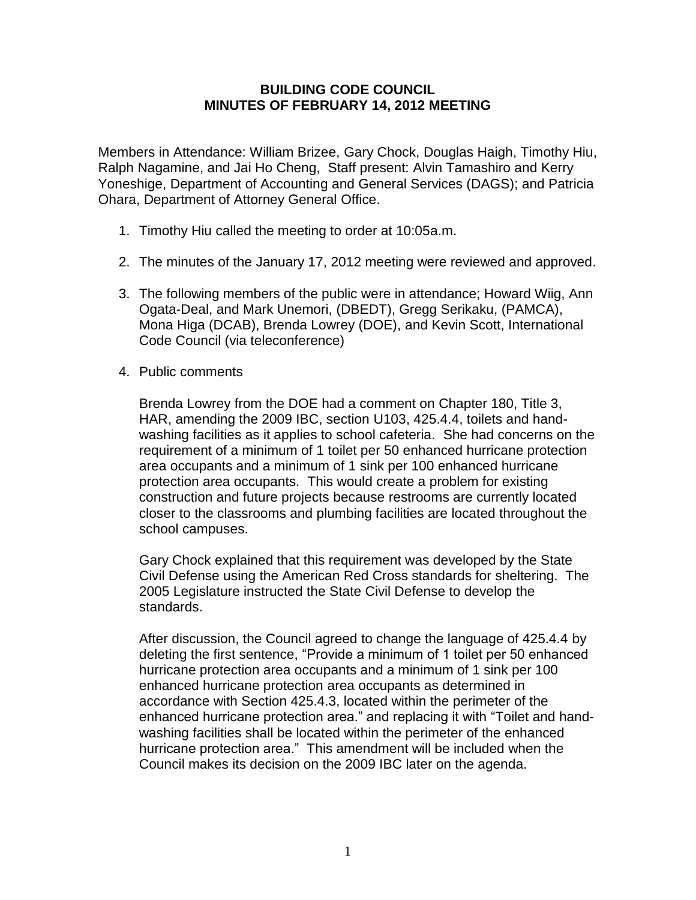## **BUILDING CODE COUNCIL MINUTES OF FEBRUARY 14, 2012 MEETING**

Members in Attendance: William Brizee, Gary Chock, Douglas Haigh, Timothy Hiu, Ralph Nagamine, and Jai Ho Cheng, Staff present: Alvin Tamashiro and Kerry Yoneshige, Department of Accounting and General Services (DAGS); and Patricia Ohara, Department of Attorney General Office.

- 1. Timothy Hiu called the meeting to order at 10:05a.m.
- 2. The minutes of the January 17, 2012 meeting were reviewed and approved.
- 3. The following members of the public were in attendance; Howard Wiig, Ann Ogata-Deal, and Mark Unemori, (DBEDT), Gregg Serikaku, (PAMCA), Mona Higa (DCAB), Brenda Lowrey (DOE), and Kevin Scott, International Code Council (via teleconference)
- 4. Public comments

Brenda Lowrey from the DOE had a comment on Chapter 180, Title 3, HAR, amending the 2009 IBC, section U103, 425.4.4, toilets and handwashing facilities as it applies to school cafeteria. She had concerns on the requirement of a minimum of 1 toilet per 50 enhanced hurricane protection area occupants and a minimum of 1 sink per 100 enhanced hurricane protection area occupants. This would create a problem for existing construction and future projects because restrooms are currently located closer to the classrooms and plumbing facilities are located throughout the school campuses.

Gary Chock explained that this requirement was developed by the State Civil Defense using the American Red Cross standards for sheltering. The 2005 Legislature instructed the State Civil Defense to develop the standards.

After discussion, the Council agreed to change the language of 425.4.4 by deleting the first sentence, "Provide a minimum of 1 toilet per 50 enhanced hurricane protection area occupants and a minimum of 1 sink per 100 enhanced hurricane protection area occupants as determined in accordance with Section 425.4.3, located within the perimeter of the enhanced hurricane protection area." and replacing it with "Toilet and handwashing facilities shall be located within the perimeter of the enhanced hurricane protection area." This amendment will be included when the Council makes its decision on the 2009 IBC later on the agenda.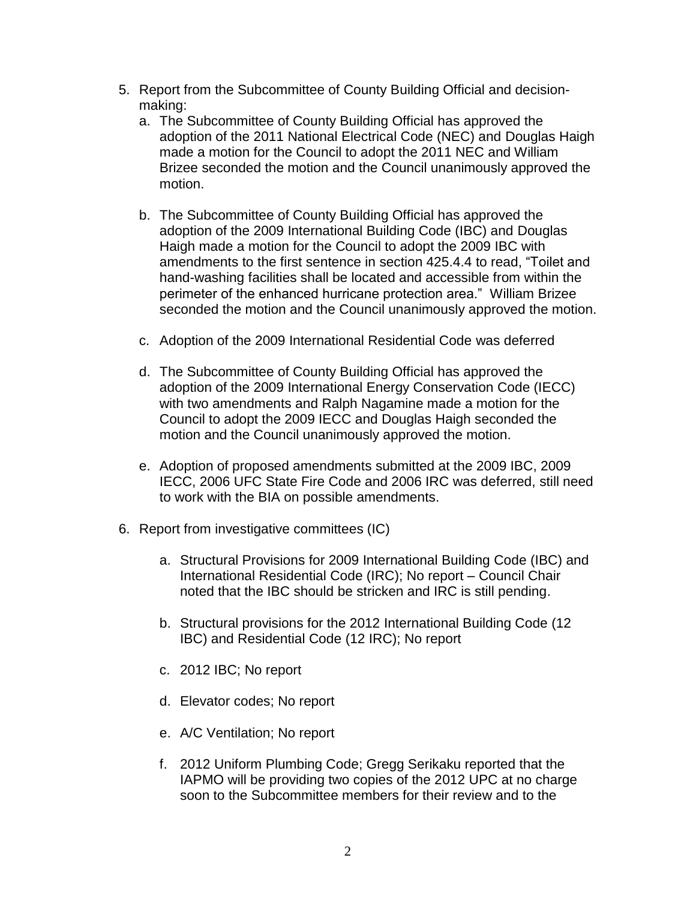- 5. Report from the Subcommittee of County Building Official and decisionmaking:
	- a. The Subcommittee of County Building Official has approved the adoption of the 2011 National Electrical Code (NEC) and Douglas Haigh made a motion for the Council to adopt the 2011 NEC and William Brizee seconded the motion and the Council unanimously approved the motion.
	- b. The Subcommittee of County Building Official has approved the adoption of the 2009 International Building Code (IBC) and Douglas Haigh made a motion for the Council to adopt the 2009 IBC with amendments to the first sentence in section 425.4.4 to read, "Toilet and hand-washing facilities shall be located and accessible from within the perimeter of the enhanced hurricane protection area." William Brizee seconded the motion and the Council unanimously approved the motion.
	- c. Adoption of the 2009 International Residential Code was deferred
	- d. The Subcommittee of County Building Official has approved the adoption of the 2009 International Energy Conservation Code (IECC) with two amendments and Ralph Nagamine made a motion for the Council to adopt the 2009 IECC and Douglas Haigh seconded the motion and the Council unanimously approved the motion.
	- e. Adoption of proposed amendments submitted at the 2009 IBC, 2009 IECC, 2006 UFC State Fire Code and 2006 IRC was deferred, still need to work with the BIA on possible amendments.
- 6. Report from investigative committees (IC)
	- a. Structural Provisions for 2009 International Building Code (IBC) and International Residential Code (IRC); No report – Council Chair noted that the IBC should be stricken and IRC is still pending.
	- b. Structural provisions for the 2012 International Building Code (12 IBC) and Residential Code (12 IRC); No report
	- c. 2012 IBC; No report
	- d. Elevator codes; No report
	- e. A/C Ventilation; No report
	- f. 2012 Uniform Plumbing Code; Gregg Serikaku reported that the IAPMO will be providing two copies of the 2012 UPC at no charge soon to the Subcommittee members for their review and to the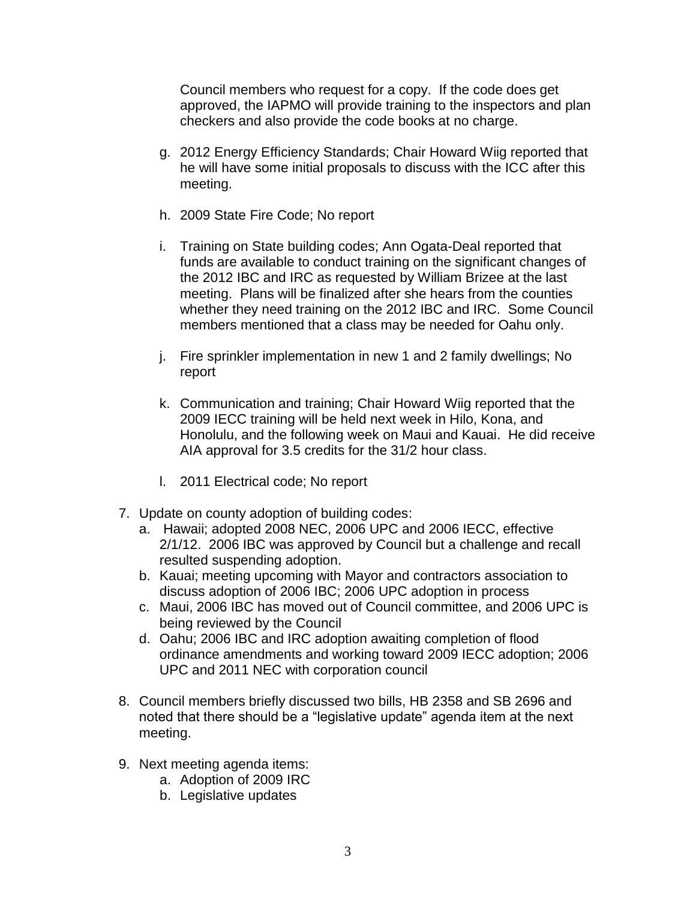Council members who request for a copy. If the code does get approved, the IAPMO will provide training to the inspectors and plan checkers and also provide the code books at no charge.

- g. 2012 Energy Efficiency Standards; Chair Howard Wiig reported that he will have some initial proposals to discuss with the ICC after this meeting.
- h. 2009 State Fire Code; No report
- i. Training on State building codes; Ann Ogata-Deal reported that funds are available to conduct training on the significant changes of the 2012 IBC and IRC as requested by William Brizee at the last meeting. Plans will be finalized after she hears from the counties whether they need training on the 2012 IBC and IRC. Some Council members mentioned that a class may be needed for Oahu only.
- j. Fire sprinkler implementation in new 1 and 2 family dwellings; No report
- k. Communication and training; Chair Howard Wiig reported that the 2009 IECC training will be held next week in Hilo, Kona, and Honolulu, and the following week on Maui and Kauai. He did receive AIA approval for 3.5 credits for the 31/2 hour class.
- l. 2011 Electrical code; No report
- 7. Update on county adoption of building codes:
	- a. Hawaii; adopted 2008 NEC, 2006 UPC and 2006 IECC, effective 2/1/12. 2006 IBC was approved by Council but a challenge and recall resulted suspending adoption.
	- b. Kauai; meeting upcoming with Mayor and contractors association to discuss adoption of 2006 IBC; 2006 UPC adoption in process
	- c. Maui, 2006 IBC has moved out of Council committee, and 2006 UPC is being reviewed by the Council
	- d. Oahu; 2006 IBC and IRC adoption awaiting completion of flood ordinance amendments and working toward 2009 IECC adoption; 2006 UPC and 2011 NEC with corporation council
- 8. Council members briefly discussed two bills, HB 2358 and SB 2696 and noted that there should be a "legislative update" agenda item at the next meeting.
- 9. Next meeting agenda items:
	- a. Adoption of 2009 IRC
	- b. Legislative updates